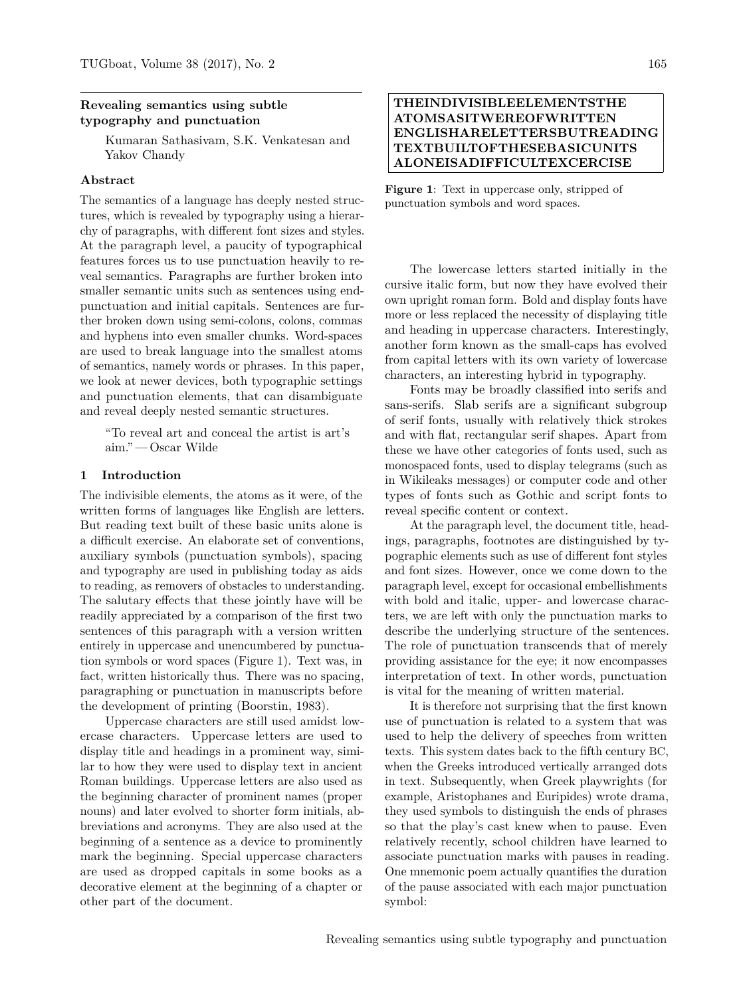### **Revealing semantics using subtle typography and punctuation**

Kumaran Sathasivam, S.K. Venkatesan and Yakov Chandy

### **Abstract**

The semantics of a language has deeply nested structures, which is revealed by typography using a hierarchy of paragraphs, with different font sizes and styles. At the paragraph level, a paucity of typographical features forces us to use punctuation heavily to reveal semantics. Paragraphs are further broken into smaller semantic units such as sentences using endpunctuation and initial capitals. Sentences are further broken down using semi-colons, colons, commas and hyphens into even smaller chunks. Word-spaces are used to break language into the smallest atoms of semantics, namely words or phrases. In this paper, we look at newer devices, both typographic settings and punctuation elements, that can disambiguate and reveal deeply nested semantic structures.

"To reveal art and conceal the artist is art's aim." — Oscar Wilde

### **1 Introduction**

The indivisible elements, the atoms as it were, of the written forms of languages like English are letters. But reading text built of these basic units alone is a difficult exercise. An elaborate set of conventions, auxiliary symbols (punctuation symbols), spacing and typography are used in publishing today as aids to reading, as removers of obstacles to understanding. The salutary effects that these jointly have will be readily appreciated by a comparison of the first two sentences of this paragraph with a version written entirely in uppercase and unencumbered by punctuation symbols or word spaces (Figure 1). Text was, in fact, written historically thus. There was no spacing, paragraphing or punctuation in manuscripts before the development of printing [\(Boorstin, 1983\)](#page-5-0).

Uppercase characters are still used amidst lowercase characters. Uppercase letters are used to display title and headings in a prominent way, similar to how they were used to display text in ancient Roman buildings. Uppercase letters are also used as the beginning character of prominent names (proper nouns) and later evolved to shorter form initials, abbreviations and acronyms. They are also used at the beginning of a sentence as a device to prominently mark the beginning. Special uppercase characters are used as dropped capitals in some books as a decorative element at the beginning of a chapter or other part of the document.

# **THEINDIVISIBLEELEMENTSTHE ATOMSASITWEREOFWRITTEN ENGLISHARELETTERSBUTREADING TEXTBUILTOFTHESEBASICUNITS ALONEISADIFFICULTEXCERCISE**

**Figure 1**: Text in uppercase only, stripped of punctuation symbols and word spaces.

The lowercase letters started initially in the cursive italic form, but now they have evolved their own upright roman form. Bold and display fonts have more or less replaced the necessity of displaying title and heading in uppercase characters. Interestingly, another form known as the small-caps has evolved from capital letters with its own variety of lowercase characters, an interesting hybrid in typography.

Fonts may be broadly classified into serifs and sans-serifs. Slab serifs are a significant subgroup of serif fonts, usually with relatively thick strokes and with flat, rectangular serif shapes. Apart from these we have other categories of fonts used, such as monospaced fonts, used to display telegrams (such as in Wikileaks messages) or computer code and other types of fonts such as Gothic and script fonts to reveal specific content or context.

At the paragraph level, the document title, headings, paragraphs, footnotes are distinguished by typographic elements such as use of different font styles and font sizes. However, once we come down to the paragraph level, except for occasional embellishments with bold and italic, upper- and lowercase characters, we are left with only the punctuation marks to describe the underlying structure of the sentences. The role of punctuation transcends that of merely providing assistance for the eye; it now encompasses interpretation of text. In other words, punctuation is vital for the meaning of written material.

It is therefore not surprising that the first known use of punctuation is related to a system that was used to help the delivery of speeches from written texts. This system dates back to the fifth century BC, when the Greeks introduced vertically arranged dots in text. Subsequently, when Greek playwrights (for example, Aristophanes and Euripides) wrote drama, they used symbols to distinguish the ends of phrases so that the play's cast knew when to pause. Even relatively recently, school children have learned to associate punctuation marks with pauses in reading. One mnemonic poem actually quantifies the duration of the pause associated with each major punctuation symbol: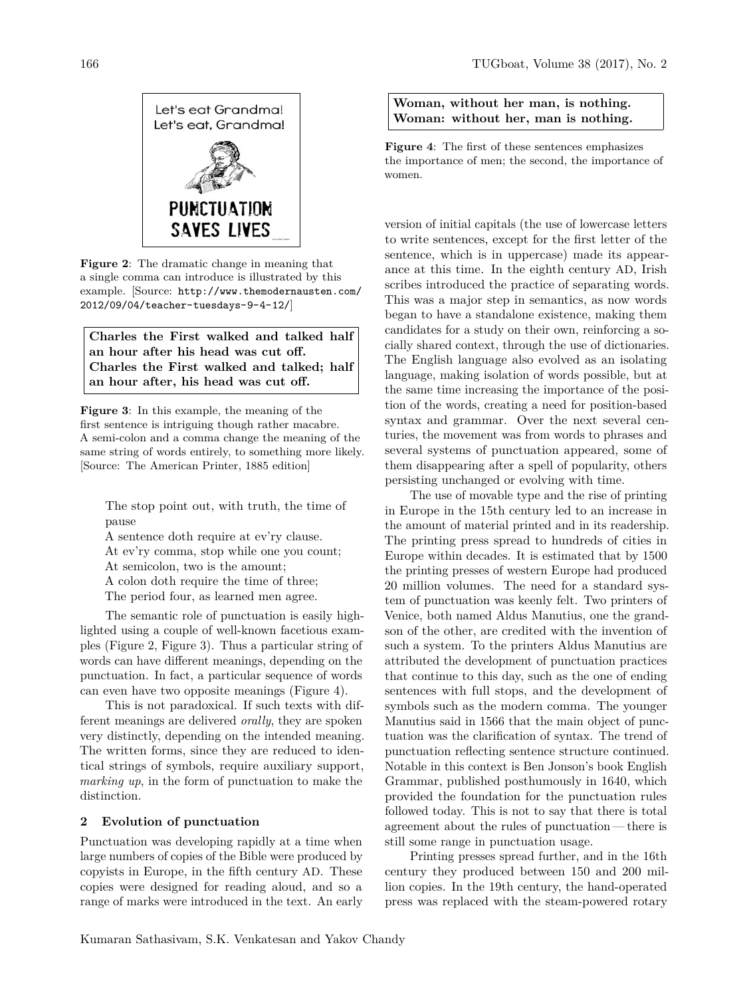

**Figure 2**: The dramatic change in meaning that a single comma can introduce is illustrated by this example. [Source: [http://www.themodernausten.com/](http://www.themodernausten.com/2012/09/04/teacher-tuesdays-9-4-12/) [2012/09/04/teacher-tuesdays-9-4-12/](http://www.themodernausten.com/2012/09/04/teacher-tuesdays-9-4-12/)]

**Charles the First walked and talked half an hour after his head was cut off. Charles the First walked and talked; half an hour after, his head was cut off.**

**Figure 3**: In this example, the meaning of the first sentence is intriguing though rather macabre. A semi-colon and a comma change the meaning of the same string of words entirely, to something more likely. [Source: The American Printer, 1885 edition]

The stop point out, with truth, the time of pause

A sentence doth require at ev'ry clause. At ev'ry comma, stop while one you count; At semicolon, two is the amount; A colon doth require the time of three; The period four, as learned men agree.

The semantic role of punctuation is easily highlighted using a couple of well-known facetious examples (Figure 2, Figure 3). Thus a particular string of words can have different meanings, depending on the punctuation. In fact, a particular sequence of words can even have two opposite meanings (Figure 4).

This is not paradoxical. If such texts with different meanings are delivered *orally*, they are spoken very distinctly, depending on the intended meaning. The written forms, since they are reduced to identical strings of symbols, require auxiliary support, *marking up*, in the form of punctuation to make the distinction.

## **2 Evolution of punctuation**

Punctuation was developing rapidly at a time when large numbers of copies of the Bible were produced by copyists in Europe, in the fifth century AD. These copies were designed for reading aloud, and so a range of marks were introduced in the text. An early

## **Woman, without her man, is nothing. Woman: without her, man is nothing.**

**Figure 4**: The first of these sentences emphasizes the importance of men; the second, the importance of women.

version of initial capitals (the use of lowercase letters to write sentences, except for the first letter of the sentence, which is in uppercase) made its appearance at this time. In the eighth century AD, Irish scribes introduced the practice of separating words. This was a major step in semantics, as now words began to have a standalone existence, making them candidates for a study on their own, reinforcing a socially shared context, through the use of dictionaries. The English language also evolved as an isolating language, making isolation of words possible, but at the same time increasing the importance of the position of the words, creating a need for position-based syntax and grammar. Over the next several centuries, the movement was from words to phrases and several systems of punctuation appeared, some of them disappearing after a spell of popularity, others persisting unchanged or evolving with time.

The use of movable type and the rise of printing in Europe in the 15th century led to an increase in the amount of material printed and in its readership. The printing press spread to hundreds of cities in Europe within decades. It is estimated that by 1500 the printing presses of western Europe had produced 20 million volumes. The need for a standard system of punctuation was keenly felt. Two printers of Venice, both named Aldus Manutius, one the grandson of the other, are credited with the invention of such a system. To the printers Aldus Manutius are attributed the development of punctuation practices that continue to this day, such as the one of ending sentences with full stops, and the development of symbols such as the modern comma. The younger Manutius said in 1566 that the main object of punctuation was the clarification of syntax. The trend of punctuation reflecting sentence structure continued. Notable in this context is Ben Jonson's book English Grammar, published posthumously in 1640, which provided the foundation for the punctuation rules followed today. This is not to say that there is total agreement about the rules of punctuation — there is still some range in punctuation usage.

Printing presses spread further, and in the 16th century they produced between 150 and 200 million copies. In the 19th century, the hand-operated press was replaced with the steam-powered rotary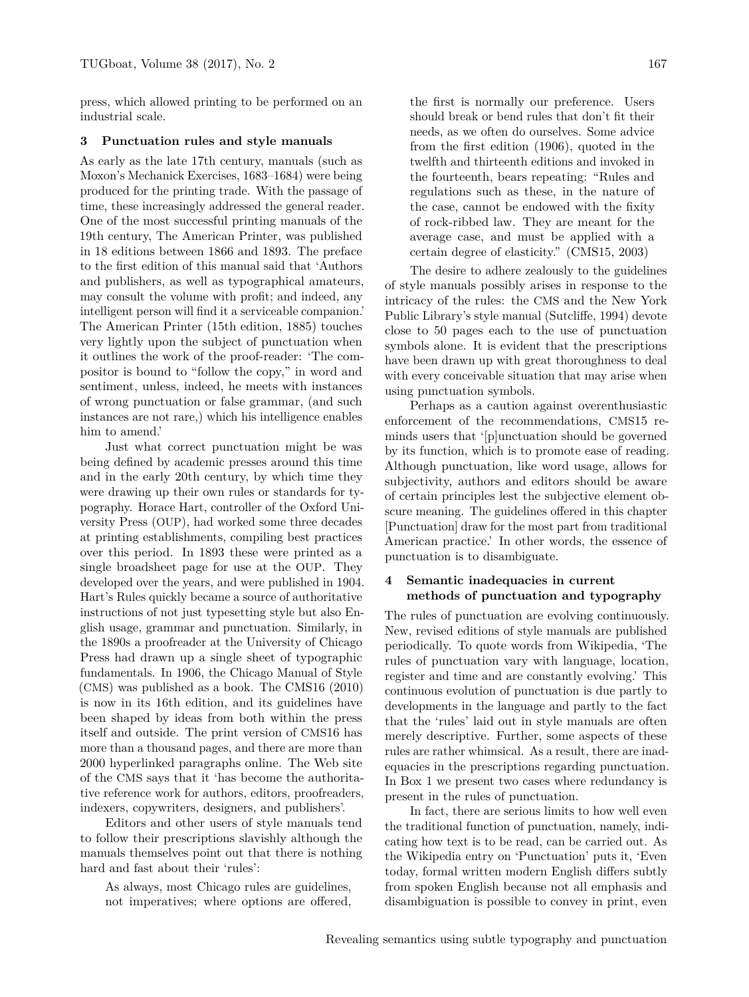press, which allowed printing to be performed on an industrial scale.

#### **3 Punctuation rules and style manuals**

As early as the late 17th century, manuals (such as Moxon's Mechanick Exercises, 1683–1684) were being produced for the printing trade. With the passage of time, these increasingly addressed the general reader. One of the most successful printing manuals of the 19th century, The American Printer, was published in 18 editions between 1866 and 1893. The preface to the first edition of this manual said that 'Authors and publishers, as well as typographical amateurs, may consult the volume with profit; and indeed, any intelligent person will find it a serviceable companion.' The American Printer (15th edition, 1885) touches very lightly upon the subject of punctuation when it outlines the work of the proof-reader: 'The compositor is bound to "follow the copy," in word and sentiment, unless, indeed, he meets with instances of wrong punctuation or false grammar, (and such instances are not rare,) which his intelligence enables him to amend.'

Just what correct punctuation might be was being defined by academic presses around this time and in the early 20th century, by which time they were drawing up their own rules or standards for typography. Horace Hart, controller of the Oxford University Press (OUP), had worked some three decades at printing establishments, compiling best practices over this period. In 1893 these were printed as a single broadsheet page for use at the OUP. They developed over the years, and were published in 1904. Hart's Rules quickly became a source of authoritative instructions of not just typesetting style but also English usage, grammar and punctuation. Similarly, in the 1890s a proofreader at the University of Chicago Press had drawn up a single sheet of typographic fundamentals. In 1906, the Chicago Manual of Style (CMS) was published as a book. The [CMS16](#page-5-1) [\(2010\)](#page-5-1) is now in its 16th edition, and its guidelines have been shaped by ideas from both within the press itself and outside. The print version of CMS16 has more than a thousand pages, and there are more than 2000 hyperlinked paragraphs online. The Web site of the CMS says that it 'has become the authoritative reference work for authors, editors, proofreaders, indexers, copywriters, designers, and publishers'.

Editors and other users of style manuals tend to follow their prescriptions slavishly although the manuals themselves point out that there is nothing hard and fast about their 'rules':

As always, most Chicago rules are guidelines, not imperatives; where options are offered, the first is normally our preference. Users should break or bend rules that don't fit their needs, as we often do ourselves. Some advice from the first edition (1906), quoted in the twelfth and thirteenth editions and invoked in the fourteenth, bears repeating: "Rules and regulations such as these, in the nature of the case, cannot be endowed with the fixity of rock-ribbed law. They are meant for the average case, and must be applied with a certain degree of elasticity." [\(CMS15, 2003\)](#page-5-2)

The desire to adhere zealously to the guidelines of style manuals possibly arises in response to the intricacy of the rules: the CMS and the New York Public Library's style manual [\(Sutcliffe, 1994\)](#page-5-3) devote close to 50 pages each to the use of punctuation symbols alone. It is evident that the prescriptions have been drawn up with great thoroughness to deal with every conceivable situation that may arise when using punctuation symbols.

Perhaps as a caution against overenthusiastic enforcement of the recommendations, CMS15 reminds users that '[p]unctuation should be governed by its function, which is to promote ease of reading. Although punctuation, like word usage, allows for subjectivity, authors and editors should be aware of certain principles lest the subjective element obscure meaning. The guidelines offered in this chapter [Punctuation] draw for the most part from traditional American practice.' In other words, the essence of punctuation is to disambiguate.

## **4 Semantic inadequacies in current methods of punctuation and typography**

The rules of punctuation are evolving continuously. New, revised editions of style manuals are published periodically. To quote words from Wikipedia, 'The rules of punctuation vary with language, location, register and time and are constantly evolving.' This continuous evolution of punctuation is due partly to developments in the language and partly to the fact that the 'rules' laid out in style manuals are often merely descriptive. Further, some aspects of these rules are rather whimsical. As a result, there are inadequacies in the prescriptions regarding punctuation. In Box 1 we present two cases where redundancy is present in the rules of punctuation.

In fact, there are serious limits to how well even the traditional function of punctuation, namely, indicating how text is to be read, can be carried out. As the Wikipedia entry on 'Punctuation' puts it, 'Even today, formal written modern English differs subtly from spoken English because not all emphasis and disambiguation is possible to convey in print, even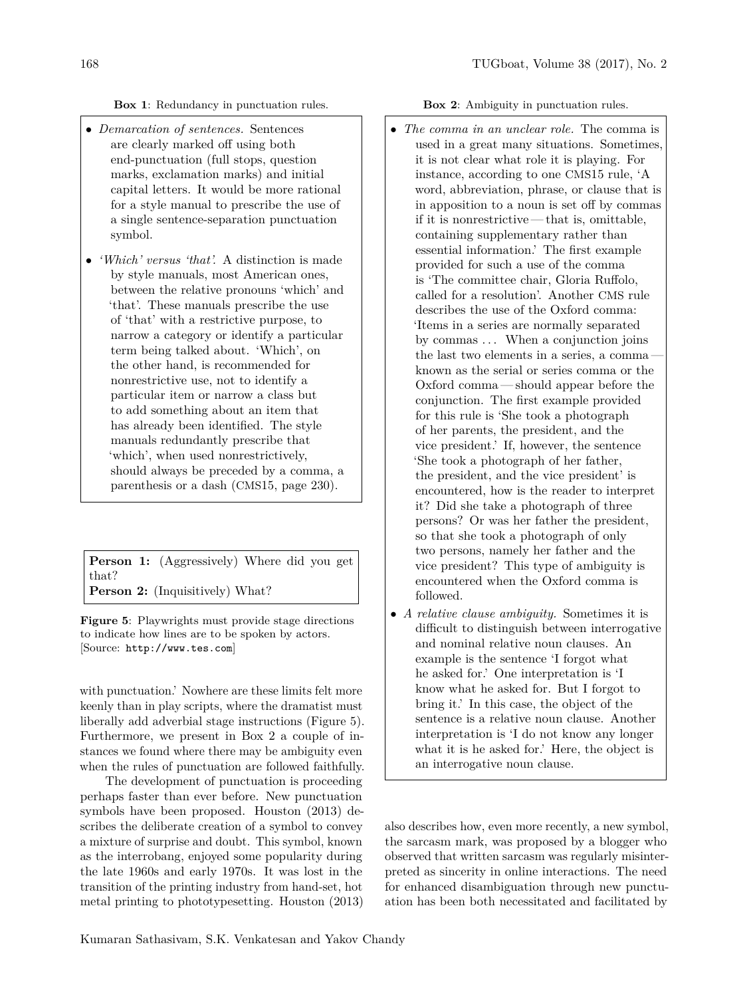**Box 1**: Redundancy in punctuation rules.

- *Demarcation of sentences.* Sentences are clearly marked off using both end-punctuation (full stops, question marks, exclamation marks) and initial capital letters. It would be more rational for a style manual to prescribe the use of a single sentence-separation punctuation symbol.
- *'Which' versus 'that'.* A distinction is made by style manuals, most American ones, between the relative pronouns 'which' and 'that'. These manuals prescribe the use of 'that' with a restrictive purpose, to narrow a category or identify a particular term being talked about. 'Which', on the other hand, is recommended for nonrestrictive use, not to identify a particular item or narrow a class but to add something about an item that has already been identified. The style manuals redundantly prescribe that 'which', when used nonrestrictively, should always be preceded by a comma, a parenthesis or a dash (CMS15, page 230).

**Person 1:** (Aggressively) Where did you get that? **Person 2:** (Inquisitively) What?

**Figure 5**: Playwrights must provide stage directions to indicate how lines are to be spoken by actors. [Source: <http://www.tes.com>]

with punctuation.' Nowhere are these limits felt more keenly than in play scripts, where the dramatist must liberally add adverbial stage instructions (Figure 5). Furthermore, we present in Box 2 a couple of instances we found where there may be ambiguity even when the rules of punctuation are followed faithfully.

The development of punctuation is proceeding perhaps faster than ever before. New punctuation symbols have been proposed. [Houston](#page-5-4) [\(2013\)](#page-5-4) describes the deliberate creation of a symbol to convey a mixture of surprise and doubt. This symbol, known as the interrobang, enjoyed some popularity during the late 1960s and early 1970s. It was lost in the transition of the printing industry from hand-set, hot metal printing to phototypesetting. [Houston](#page-5-4) [\(2013\)](#page-5-4)

**Box 2**: Ambiguity in punctuation rules.

- *The comma in an unclear role.* The comma is used in a great many situations. Sometimes, it is not clear what role it is playing. For instance, according to one CMS15 rule, 'A word, abbreviation, phrase, or clause that is in apposition to a noun is set off by commas if it is nonrestrictive— that is, omittable, containing supplementary rather than essential information.' The first example provided for such a use of the comma is 'The committee chair, Gloria Ruffolo, called for a resolution'. Another CMS rule describes the use of the Oxford comma: 'Items in a series are normally separated by commas . . . When a conjunction joins the last two elements in a series, a comma known as the serial or series comma or the Oxford comma— should appear before the conjunction. The first example provided for this rule is 'She took a photograph of her parents, the president, and the vice president.' If, however, the sentence 'She took a photograph of her father, the president, and the vice president' is encountered, how is the reader to interpret it? Did she take a photograph of three persons? Or was her father the president, so that she took a photograph of only two persons, namely her father and the vice president? This type of ambiguity is encountered when the Oxford comma is followed.
- *A relative clause ambiguity.* Sometimes it is difficult to distinguish between interrogative and nominal relative noun clauses. An example is the sentence 'I forgot what he asked for.' One interpretation is 'I know what he asked for. But I forgot to bring it.' In this case, the object of the sentence is a relative noun clause. Another interpretation is 'I do not know any longer what it is he asked for.' Here, the object is an interrogative noun clause.

also describes how, even more recently, a new symbol, the sarcasm mark, was proposed by a blogger who observed that written sarcasm was regularly misinterpreted as sincerity in online interactions. The need for enhanced disambiguation through new punctuation has been both necessitated and facilitated by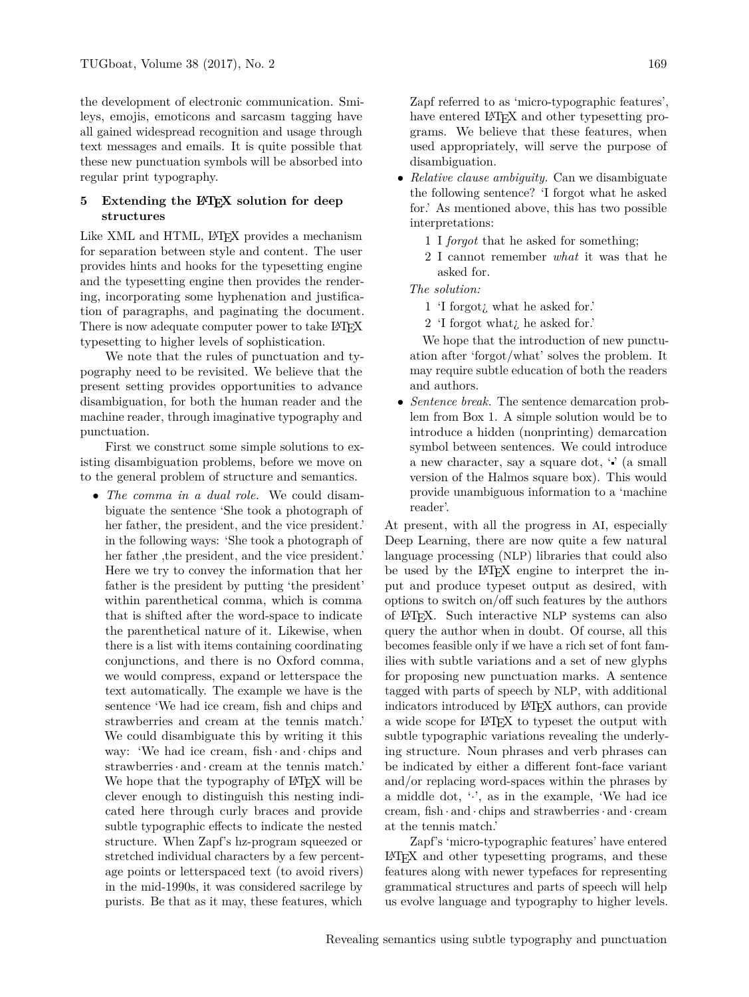the development of electronic communication. Smileys, emojis, emoticons and sarcasm tagging have all gained widespread recognition and usage through text messages and emails. It is quite possible that these new punctuation symbols will be absorbed into regular print typography.

### **5** Extending the LA<sub>I</sub><sub>E</sub>X</sub> solution for deep **structures**

Like XML and HTML, L<sup>AT</sup>FX provides a mechanism for separation between style and content. The user provides hints and hooks for the typesetting engine and the typesetting engine then provides the rendering, incorporating some hyphenation and justification of paragraphs, and paginating the document. There is now adequate computer power to take LAT<sub>EX</sub> typesetting to higher levels of sophistication.

We note that the rules of punctuation and typography need to be revisited. We believe that the present setting provides opportunities to advance disambiguation, for both the human reader and the machine reader, through imaginative typography and punctuation.

First we construct some simple solutions to existing disambiguation problems, before we move on to the general problem of structure and semantics.

• *The comma in a dual role.* We could disambiguate the sentence 'She took a photograph of her father, the president, and the vice president.' in the following ways: 'She took a photograph of her father, the president, and the vice president.' Here we try to convey the information that her father is the president by putting 'the president' within parenthetical comma, which is comma that is shifted after the word-space to indicate the parenthetical nature of it. Likewise, when there is a list with items containing coordinating conjunctions, and there is no Oxford comma, we would compress, expand or letterspace the text automatically. The example we have is the sentence 'We had ice cream, fish and chips and strawberries and cream at the tennis match.' We could disambiguate this by writing it this way: 'We had ice cream, fish · and · chips and strawberries· and · cream at the tennis match.' We hope that the typography of LAT<sub>EX</sub> will be clever enough to distinguish this nesting indicated here through curly braces and provide subtle typographic effects to indicate the nested structure. When Zapf's hz-program squeezed or stretched individual characters by a few percentage points or letterspaced text (to avoid rivers) in the mid-1990s, it was considered sacrilege by purists. Be that as it may, these features, which

Zapf referred to as 'micro-typographic features', have entered L<sup>AT</sup>FX and other typesetting programs. We believe that these features, when used appropriately, will serve the purpose of disambiguation.

- *Relative clause ambiguity.* Can we disambiguate the following sentence? 'I forgot what he asked for.' As mentioned above, this has two possible interpretations:
	- 1 I *forgot* that he asked for something;
	- 2 I cannot remember *what* it was that he asked for.

*The solution:*

- 1 'I forgot¿ what he asked for.'
- 2 'I forgot what¿ he asked for.'

We hope that the introduction of new punctuation after 'forgot/what' solves the problem. It may require subtle education of both the readers and authors.

• *Sentence break.* The sentence demarcation problem from Box 1. A simple solution would be to introduce a hidden (nonprinting) demarcation symbol between sentences. We could introduce a new character, say a square dot, ' ' (a small version of the Halmos square box). This would provide unambiguous information to a 'machine reader'.

At present, with all the progress in AI, especially Deep Learning, there are now quite a few natural language processing (NLP) libraries that could also be used by the LAT<sub>F</sub>X engine to interpret the input and produce typeset output as desired, with options to switch on/off such features by the authors of LATEX. Such interactive NLP systems can also query the author when in doubt. Of course, all this becomes feasible only if we have a rich set of font families with subtle variations and a set of new glyphs for proposing new punctuation marks. A sentence tagged with parts of speech by NLP, with additional indicators introduced by LATEX authors, can provide a wide scope for LATEX to typeset the output with subtle typographic variations revealing the underlying structure. Noun phrases and verb phrases can be indicated by either a different font-face variant and/or replacing word-spaces within the phrases by a middle dot,  $\langle \cdot \rangle$ , as in the example, 'We had ice cream, fish · and · chips and strawberries· and · cream at the tennis match.'

Zapf's 'micro-typographic features' have entered LATEX and other typesetting programs, and these features along with newer typefaces for representing grammatical structures and parts of speech will help us evolve language and typography to higher levels.